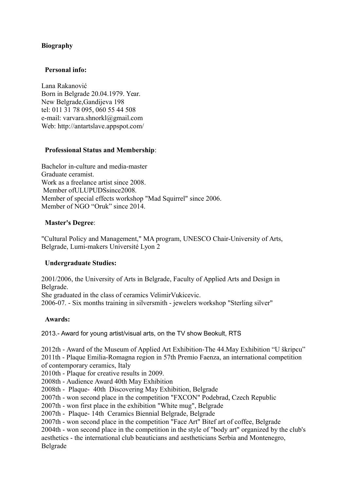# **Biography**

## **Personal info:**

Lana Rakanović Born in Belgrade 20.04.1979. Year. New Belgrade,Gandijeva 198 tel: 011 31 78 095, 060 55 44 508 e-mail: varvara.shnorkl@gmail.com Web: http://antartslave.appspot.com/

# **Professional Status and Membership**:

Bachelor in-culture and media-master Graduate ceramist. Work as a freelance artist since 2008. Member of ULUPUDSsince2008. Member of special effects workshop "Mad Squirrel" since 2006. Member of NGO "Oruk" since 2014.

## **Master's Degree**:

"Cultural Policy and Management," MA program, UNESCO Chair-University of Arts, Belgrade, Lumi-makers Université Lyon 2

# **Undergraduate Studies:**

2001/2006, the University of Arts in Belgrade, Faculty of Applied Arts and Design in Belgrade.

She graduated in the class of ceramics VelimirVukicevic. 2006-07. - Six months training in silversmith - jewelers workshop "Sterling silver"

## **Awards:**

2013.- Award for young artist/visual arts, on the TV show Beokult, RTS

2012th - Award of the Museum of Applied Art Exhibition-The 44.May Exhibition "U škripcu" 2011th - Plaque Emilia-Romagna region in 57th Premio Faenza, an international competition of contemporary ceramics, Italy

2010th - Plaque for creative results in 2009.

2008th - Audience Award 40th May Exhibition

2008th - Plaque- 40th Discovering May Exhibition, Belgrade

2007th - won second place in the competition "FXCON" Podebrad, Czech Republic

2007th - won first place in the exhibition "White mug", Belgrade

2007th - Plaque- 14th Ceramics Biennial Belgrade, Belgrade

2007th - won second place in the competition "Face Art" Bitef art of coffee, Belgrade

2004th - won second place in the competition in the style of "body art" organized by the club's aesthetics - the international club beauticians and aestheticians Serbia and Montenegro, Belgrade